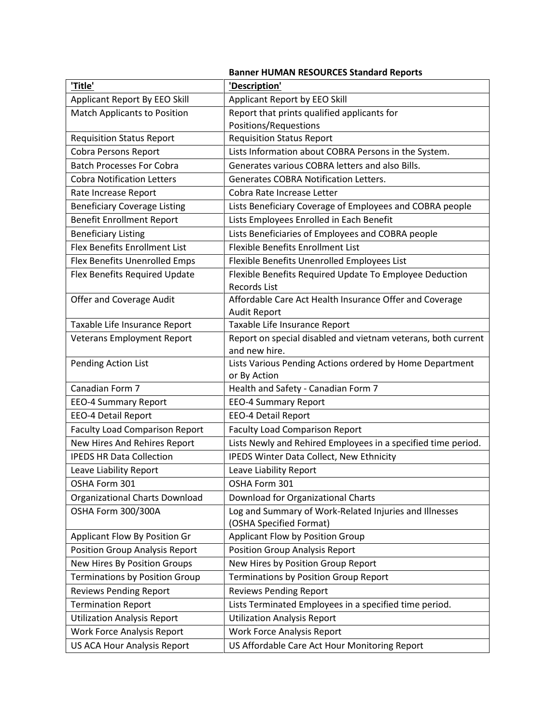|                                                                       | <b>Banner HUMAN RESOURCES Standard Reports</b>                                                         |
|-----------------------------------------------------------------------|--------------------------------------------------------------------------------------------------------|
| 'Title'                                                               | 'Description'                                                                                          |
| Applicant Report By EEO Skill                                         | Applicant Report by EEO Skill                                                                          |
| <b>Match Applicants to Position</b>                                   | Report that prints qualified applicants for                                                            |
|                                                                       | Positions/Requestions                                                                                  |
| <b>Requisition Status Report</b>                                      | <b>Requisition Status Report</b>                                                                       |
| <b>Cobra Persons Report</b>                                           | Lists Information about COBRA Persons in the System.                                                   |
| <b>Batch Processes For Cobra</b>                                      | Generates various COBRA letters and also Bills.                                                        |
| <b>Cobra Notification Letters</b>                                     | <b>Generates COBRA Notification Letters.</b>                                                           |
| Rate Increase Report                                                  | Cobra Rate Increase Letter                                                                             |
| <b>Beneficiary Coverage Listing</b>                                   | Lists Beneficiary Coverage of Employees and COBRA people                                               |
| <b>Benefit Enrollment Report</b>                                      | Lists Employees Enrolled in Each Benefit                                                               |
| <b>Beneficiary Listing</b>                                            | Lists Beneficiaries of Employees and COBRA people                                                      |
| Flex Benefits Enrollment List                                         | <b>Flexible Benefits Enrollment List</b>                                                               |
| Flex Benefits Unenrolled Emps                                         | Flexible Benefits Unenrolled Employees List                                                            |
| Flex Benefits Required Update                                         | Flexible Benefits Required Update To Employee Deduction                                                |
|                                                                       | <b>Records List</b>                                                                                    |
| Offer and Coverage Audit                                              | Affordable Care Act Health Insurance Offer and Coverage                                                |
|                                                                       | <b>Audit Report</b>                                                                                    |
| Taxable Life Insurance Report                                         | Taxable Life Insurance Report                                                                          |
| <b>Veterans Employment Report</b>                                     | Report on special disabled and vietnam veterans, both current                                          |
|                                                                       | and new hire.                                                                                          |
| Pending Action List                                                   | Lists Various Pending Actions ordered by Home Department                                               |
| Canadian Form 7                                                       | or By Action<br>Health and Safety - Canadian Form 7                                                    |
|                                                                       |                                                                                                        |
| <b>EEO-4 Summary Report</b>                                           | <b>EEO-4 Summary Report</b><br><b>EEO-4 Detail Report</b>                                              |
| <b>EEO-4 Detail Report</b>                                            |                                                                                                        |
| <b>Faculty Load Comparison Report</b><br>New Hires And Rehires Report | <b>Faculty Load Comparison Report</b><br>Lists Newly and Rehired Employees in a specified time period. |
|                                                                       |                                                                                                        |
| <b>IPEDS HR Data Collection</b>                                       | IPEDS Winter Data Collect, New Ethnicity                                                               |
| Leave Liability Report                                                | Leave Liability Report                                                                                 |
| OSHA Form 301                                                         | OSHA Form 301                                                                                          |
| Organizational Charts Download                                        | Download for Organizational Charts                                                                     |
| OSHA Form 300/300A                                                    | Log and Summary of Work-Related Injuries and Illnesses<br>(OSHA Specified Format)                      |
| Applicant Flow By Position Gr                                         | Applicant Flow by Position Group                                                                       |
| Position Group Analysis Report                                        | <b>Position Group Analysis Report</b>                                                                  |
| New Hires By Position Groups                                          | New Hires by Position Group Report                                                                     |
| <b>Terminations by Position Group</b>                                 | Terminations by Position Group Report                                                                  |
|                                                                       |                                                                                                        |
| <b>Reviews Pending Report</b>                                         | <b>Reviews Pending Report</b>                                                                          |
| <b>Termination Report</b>                                             | Lists Terminated Employees in a specified time period.                                                 |
| <b>Utilization Analysis Report</b>                                    | <b>Utilization Analysis Report</b>                                                                     |
| <b>Work Force Analysis Report</b>                                     | <b>Work Force Analysis Report</b>                                                                      |
| US ACA Hour Analysis Report                                           | US Affordable Care Act Hour Monitoring Report                                                          |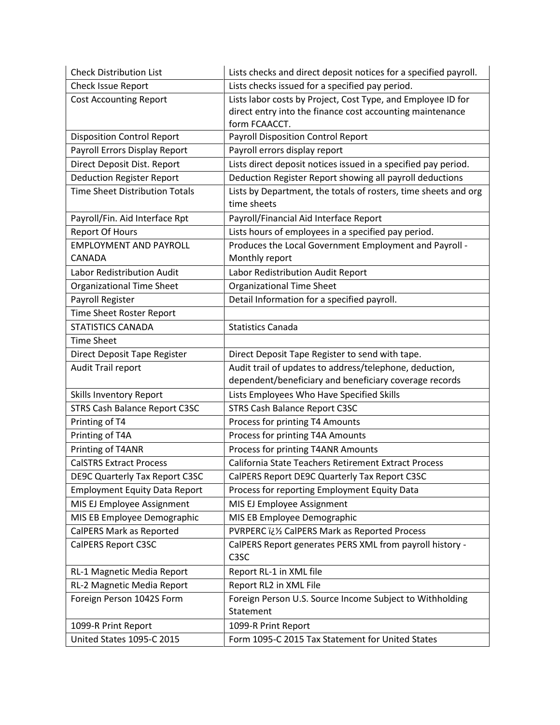| <b>Check Distribution List</b>        | Lists checks and direct deposit notices for a specified payroll.               |
|---------------------------------------|--------------------------------------------------------------------------------|
| Check Issue Report                    | Lists checks issued for a specified pay period.                                |
| <b>Cost Accounting Report</b>         | Lists labor costs by Project, Cost Type, and Employee ID for                   |
|                                       | direct entry into the finance cost accounting maintenance                      |
|                                       | form FCAACCT.                                                                  |
| <b>Disposition Control Report</b>     | <b>Payroll Disposition Control Report</b>                                      |
| Payroll Errors Display Report         | Payroll errors display report                                                  |
| Direct Deposit Dist. Report           | Lists direct deposit notices issued in a specified pay period.                 |
| <b>Deduction Register Report</b>      | Deduction Register Report showing all payroll deductions                       |
| <b>Time Sheet Distribution Totals</b> | Lists by Department, the totals of rosters, time sheets and org<br>time sheets |
| Payroll/Fin. Aid Interface Rpt        | Payroll/Financial Aid Interface Report                                         |
| <b>Report Of Hours</b>                | Lists hours of employees in a specified pay period.                            |
| <b>EMPLOYMENT AND PAYROLL</b>         | Produces the Local Government Employment and Payroll -                         |
| CANADA                                | Monthly report                                                                 |
| Labor Redistribution Audit            | Labor Redistribution Audit Report                                              |
| Organizational Time Sheet             | <b>Organizational Time Sheet</b>                                               |
| Payroll Register                      | Detail Information for a specified payroll.                                    |
| Time Sheet Roster Report              |                                                                                |
| <b>STATISTICS CANADA</b>              | <b>Statistics Canada</b>                                                       |
| <b>Time Sheet</b>                     |                                                                                |
| Direct Deposit Tape Register          | Direct Deposit Tape Register to send with tape.                                |
| Audit Trail report                    | Audit trail of updates to address/telephone, deduction,                        |
|                                       | dependent/beneficiary and beneficiary coverage records                         |
| <b>Skills Inventory Report</b>        | Lists Employees Who Have Specified Skills                                      |
| STRS Cash Balance Report C3SC         | STRS Cash Balance Report C3SC                                                  |
| Printing of T4                        | Process for printing T4 Amounts                                                |
| Printing of T4A                       | Process for printing T4A Amounts                                               |
| Printing of T4ANR                     | Process for printing T4ANR Amounts                                             |
| <b>CalSTRS Extract Process</b>        | California State Teachers Retirement Extract Process                           |
| <b>DE9C Quarterly Tax Report C3SC</b> | CalPERS Report DE9C Quarterly Tax Report C3SC                                  |
| <b>Employment Equity Data Report</b>  | Process for reporting Employment Equity Data                                   |
| MIS EJ Employee Assignment            | MIS EJ Employee Assignment                                                     |
| MIS EB Employee Demographic           | MIS EB Employee Demographic                                                    |
| CalPERS Mark as Reported              | PVRPERC ii 1/2 CalPERS Mark as Reported Process                                |
| <b>CalPERS Report C3SC</b>            | CalPERS Report generates PERS XML from payroll history -<br>C <sub>3</sub> SC  |
| RL-1 Magnetic Media Report            | Report RL-1 in XML file                                                        |
| RL-2 Magnetic Media Report            | Report RL2 in XML File                                                         |
| Foreign Person 1042S Form             | Foreign Person U.S. Source Income Subject to Withholding                       |
|                                       | Statement                                                                      |
| 1099-R Print Report                   | 1099-R Print Report                                                            |
| United States 1095-C 2015             | Form 1095-C 2015 Tax Statement for United States                               |